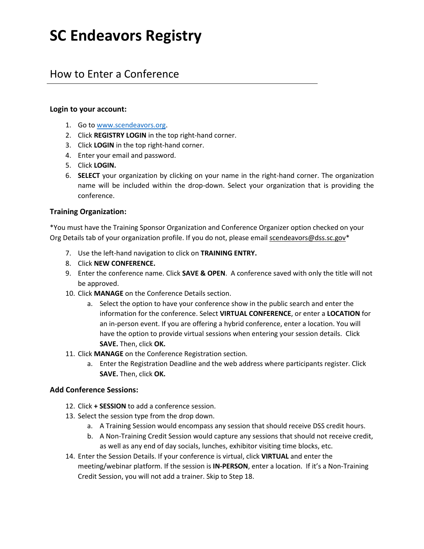# **SC Endeavors Registry**

## How to Enter a Conference

#### **Login to your account:**

- 1. Go t[o www.scendeavors.org.](http://www.scendeavors.org/)
- 2. Click **REGISTRY LOGIN** in the top right-hand corner.
- 3. Click **LOGIN** in the top right-hand corner.
- 4. Enter your email and password.
- 5. Click **LOGIN.**
- 6. **SELECT** your organization by clicking on your name in the right-hand corner. The organization name will be included within the drop-down. Select your organization that is providing the conference.

#### **Training Organization:**

\*You must have the Training Sponsor Organization and Conference Organizer option checked on your Org Details tab of your organization profile. If you do not, please email scendeavors@dss.sc.gov\*

- 7. Use the left-hand navigation to click on **TRAINING ENTRY.**
- 8. Click **NEW CONFERENCE.**
- 9. Enter the conference name. Click **SAVE & OPEN**. A conference saved with only the title will not be approved.
- 10. Click **MANAGE** on the Conference Details section.
	- a. Select the option to have your conference show in the public search and enter the information for the conference. Select **VIRTUAL CONFERENCE**, or enter a **LOCATION** for an in-person event. If you are offering a hybrid conference, enter a location. You will have the option to provide virtual sessions when entering your session details. Click **SAVE.** Then, click **OK.**
- 11. Click **MANAGE** on the Conference Registration section.
	- a. Enter the Registration Deadline and the web address where participants register. Click **SAVE.** Then, click **OK.**

#### **Add Conference Sessions:**

- 12. Click **+ SESSION** to add a conference session.
- 13. Select the session type from the drop down.
	- a. A Training Session would encompass any session that should receive DSS credit hours.
	- b. A Non-Training Credit Session would capture any sessions that should not receive credit, as well as any end of day socials, lunches, exhibitor visiting time blocks, etc.

14. Enter the Session Details. If your conference is virtual, click **VIRTUAL** and enter the meeting/webinar platform. If the session is **IN-PERSON**, enter a location. If it's a Non-Training Credit Session, you will not add a trainer. Skip to Step 18.